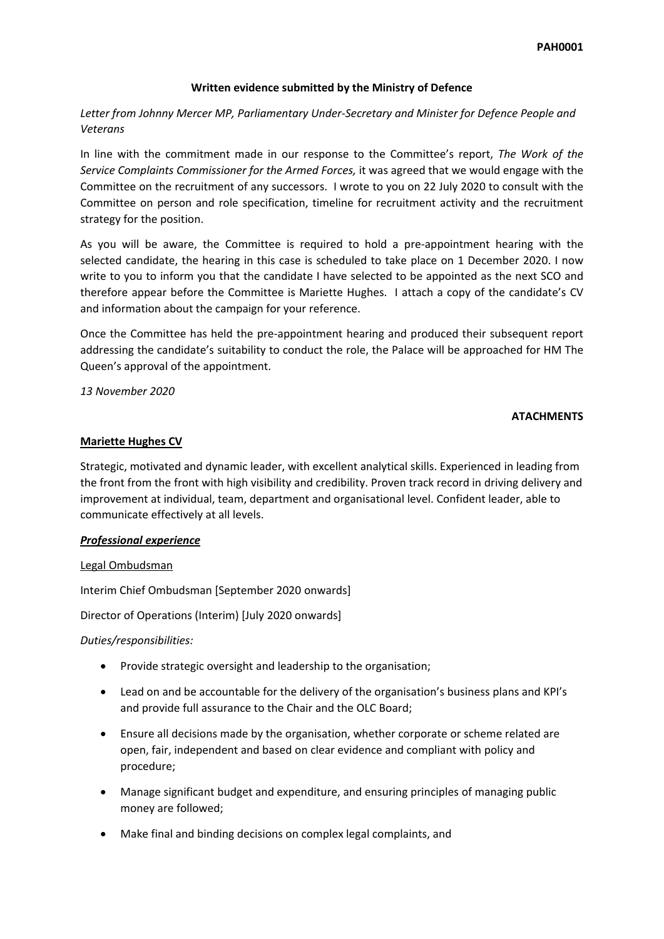#### **Written evidence submitted by the Ministry of Defence**

## *Letter from Johnny Mercer MP, Parliamentary Under-Secretary and Minister for Defence People and Veterans*

In line with the commitment made in our response to the Committee's report, *The Work of the Service Complaints Commissioner for the Armed Forces,* it was agreed that we would engage with the Committee on the recruitment of any successors. I wrote to you on 22 July 2020 to consult with the Committee on person and role specification, timeline for recruitment activity and the recruitment strategy for the position.

As you will be aware, the Committee is required to hold a pre-appointment hearing with the selected candidate, the hearing in this case is scheduled to take place on 1 December 2020. I now write to you to inform you that the candidate I have selected to be appointed as the next SCO and therefore appear before the Committee is Mariette Hughes. I attach a copy of the candidate's CV and information about the campaign for your reference.

Once the Committee has held the pre-appointment hearing and produced their subsequent report addressing the candidate's suitability to conduct the role, the Palace will be approached for HM The Queen's approval of the appointment.

*13 November 2020*

#### **ATACHMENTS**

#### **Mariette Hughes CV**

Strategic, motivated and dynamic leader, with excellent analytical skills. Experienced in leading from the front from the front with high visibility and credibility. Proven track record in driving delivery and improvement at individual, team, department and organisational level. Confident leader, able to communicate effectively at all levels.

## *Professional experience*

#### Legal Ombudsman

Interim Chief Ombudsman [September 2020 onwards]

Director of Operations (Interim) [July 2020 onwards]

#### *Duties/responsibilities:*

- Provide strategic oversight and leadership to the organisation;
- Lead on and be accountable for the delivery of the organisation's business plans and KPI's and provide full assurance to the Chair and the OLC Board;
- Ensure all decisions made by the organisation, whether corporate or scheme related are open, fair, independent and based on clear evidence and compliant with policy and procedure;
- Manage significant budget and expenditure, and ensuring principles of managing public money are followed;
- Make final and binding decisions on complex legal complaints, and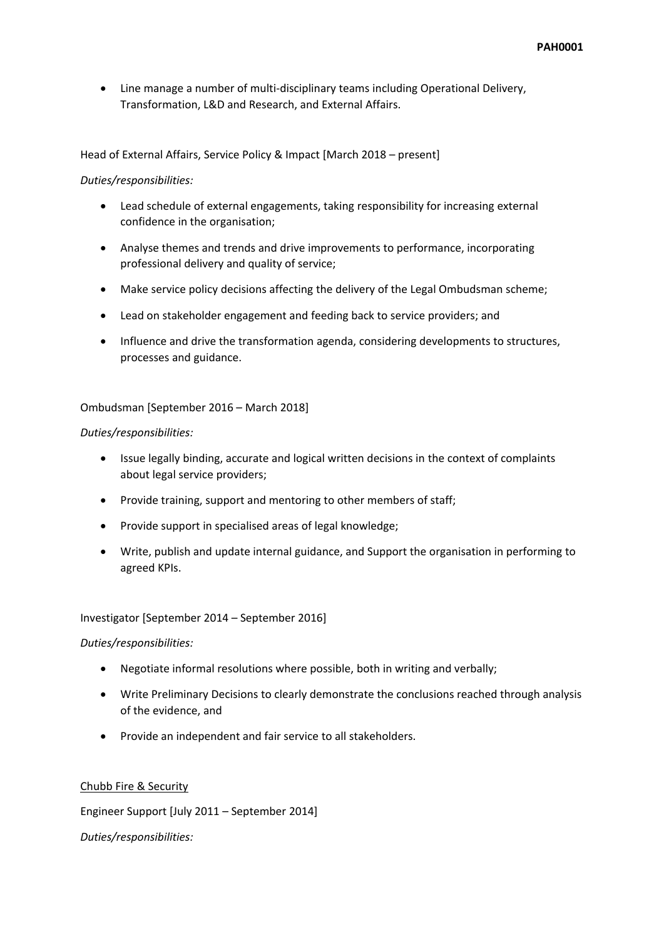Line manage a number of multi-disciplinary teams including Operational Delivery, Transformation, L&D and Research, and External Affairs.

Head of External Affairs, Service Policy & Impact [March 2018 – present]

#### *Duties/responsibilities:*

- Lead schedule of external engagements, taking responsibility for increasing external confidence in the organisation;
- Analyse themes and trends and drive improvements to performance, incorporating professional delivery and quality of service;
- Make service policy decisions affecting the delivery of the Legal Ombudsman scheme;
- Lead on stakeholder engagement and feeding back to service providers; and
- Influence and drive the transformation agenda, considering developments to structures, processes and guidance.

## Ombudsman [September 2016 – March 2018]

#### *Duties/responsibilities:*

- Issue legally binding, accurate and logical written decisions in the context of complaints about legal service providers;
- Provide training, support and mentoring to other members of staff;
- Provide support in specialised areas of legal knowledge;
- Write, publish and update internal guidance, and Support the organisation in performing to agreed KPIs.

## Investigator [September 2014 – September 2016]

## *Duties/responsibilities:*

- Negotiate informal resolutions where possible, both in writing and verbally;
- Write Preliminary Decisions to clearly demonstrate the conclusions reached through analysis of the evidence, and
- Provide an independent and fair service to all stakeholders.

## Chubb Fire & Security

Engineer Support [July 2011 – September 2014]

*Duties/responsibilities:*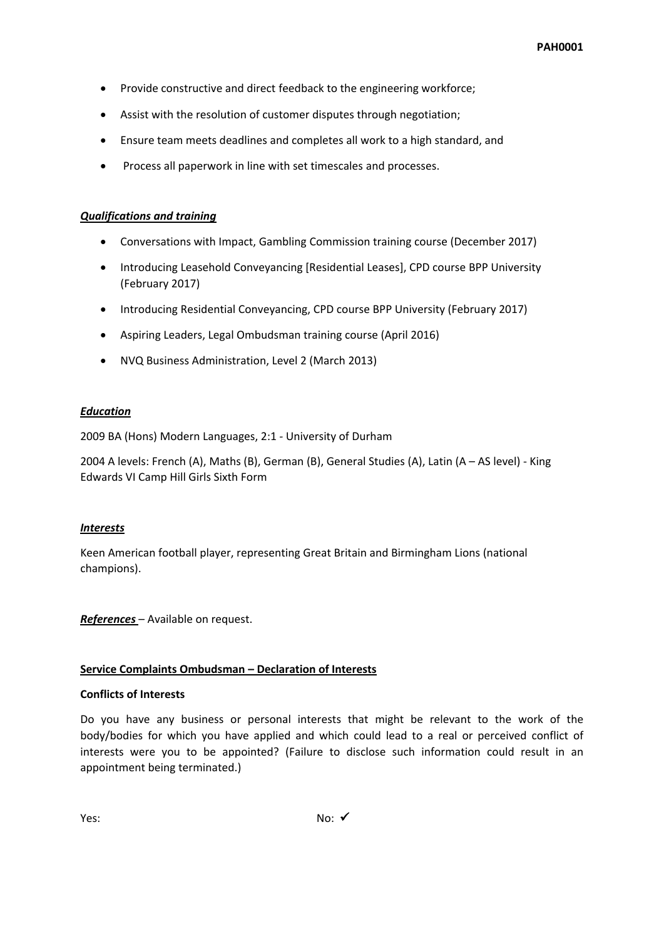- Provide constructive and direct feedback to the engineering workforce;
- Assist with the resolution of customer disputes through negotiation;
- Ensure team meets deadlines and completes all work to a high standard, and
- Process all paperwork in line with set timescales and processes.

#### *Qualifications and training*

- Conversations with Impact, Gambling Commission training course (December 2017)
- Introducing Leasehold Conveyancing [Residential Leases], CPD course BPP University (February 2017)
- Introducing Residential Conveyancing, CPD course BPP University (February 2017)
- Aspiring Leaders, Legal Ombudsman training course (April 2016)
- NVQ Business Administration, Level 2 (March 2013)

#### *Education*

2009 BA (Hons) Modern Languages, 2:1 *-* University of Durham

2004 A levels: French (A), Maths (B), German (B), General Studies (A), Latin (A – AS level) - King Edwards VI Camp Hill Girls Sixth Form

#### *Interests*

Keen American football player, representing Great Britain and Birmingham Lions (national champions).

*References* – Available on request.

## **Service Complaints Ombudsman – Declaration of Interests**

#### **Conflicts of Interests**

Do you have any business or personal interests that might be relevant to the work of the body/bodies for which you have applied and which could lead to a real or perceived conflict of interests were you to be appointed? (Failure to disclose such information could result in an appointment being terminated.)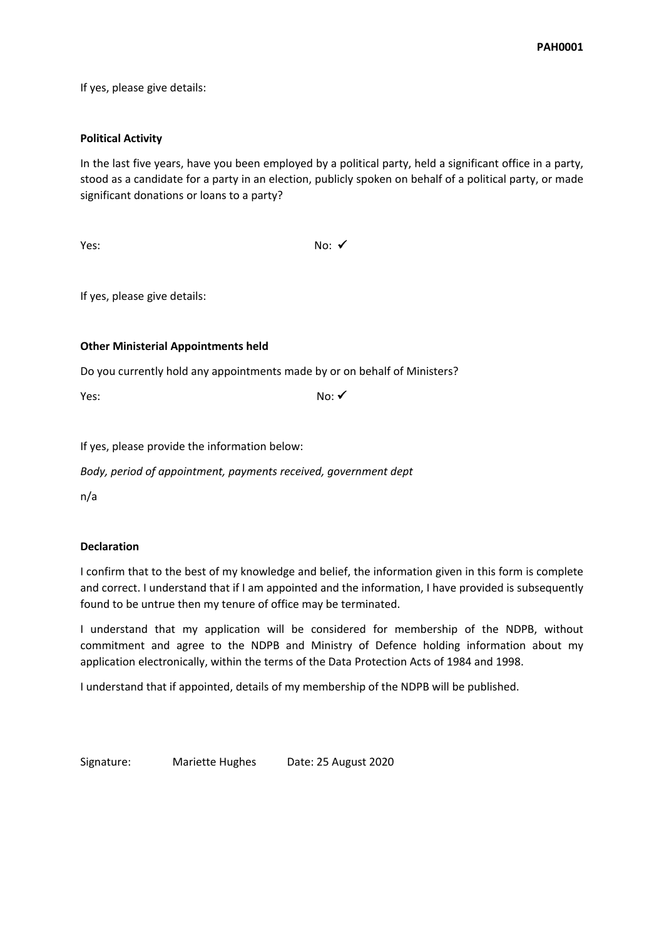If yes, please give details:

## **Political Activity**

In the last five years, have you been employed by a political party, held a significant office in a party, stood as a candidate for a party in an election, publicly spoken on behalf of a political party, or made significant donations or loans to a party?

 $Yes:$  No:  $\checkmark$ 

If yes, please give details:

## **Other Ministerial Appointments held**

Do you currently hold any appointments made by or on behalf of Ministers?

Yes:  $No: \checkmark$ 

If yes, please provide the information below:

*Body, period of appointment, payments received, government dept*

n/a

## **Declaration**

I confirm that to the best of my knowledge and belief, the information given in this form is complete and correct. I understand that if I am appointed and the information, I have provided is subsequently found to be untrue then my tenure of office may be terminated.

I understand that my application will be considered for membership of the NDPB, without commitment and agree to the NDPB and Ministry of Defence holding information about my application electronically, within the terms of the Data Protection Acts of 1984 and 1998.

I understand that if appointed, details of my membership of the NDPB will be published.

Signature: Mariette Hughes Date: 25 August 2020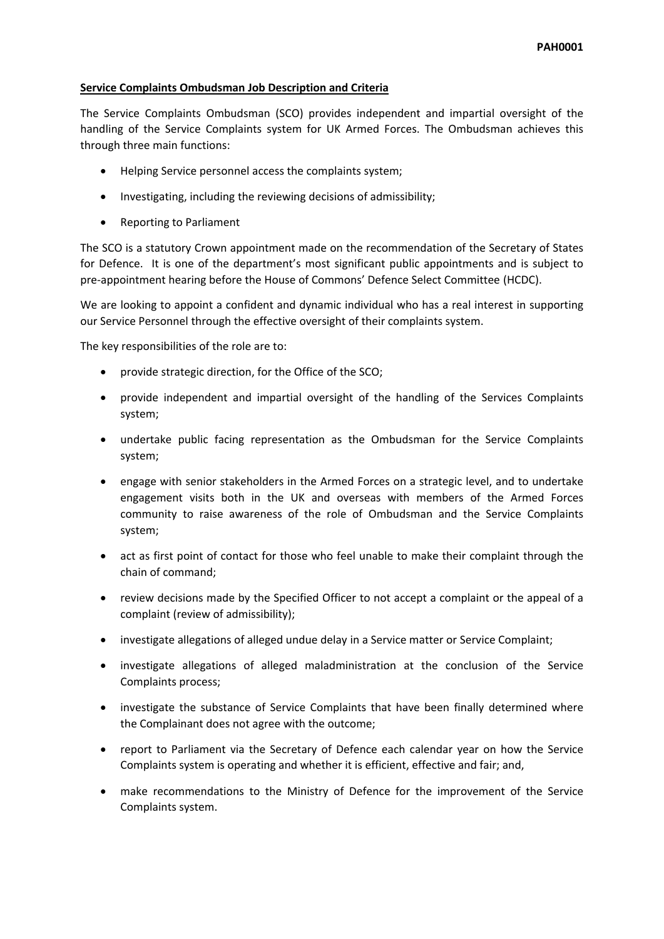## **Service Complaints Ombudsman Job Description and Criteria**

The Service Complaints Ombudsman (SCO) provides independent and impartial oversight of the handling of the Service Complaints system for UK Armed Forces. The Ombudsman achieves this through three main functions:

- Helping Service personnel access the complaints system;
- Investigating, including the reviewing decisions of admissibility;
- Reporting to Parliament

The SCO is a statutory Crown appointment made on the recommendation of the Secretary of States for Defence. It is one of the department's most significant public appointments and is subject to pre-appointment hearing before the House of Commons' Defence Select Committee (HCDC).

We are looking to appoint a confident and dynamic individual who has a real interest in supporting our Service Personnel through the effective oversight of their complaints system.

The key responsibilities of the role are to:

- provide strategic direction, for the Office of the SCO;
- provide independent and impartial oversight of the handling of the Services Complaints system;
- undertake public facing representation as the Ombudsman for the Service Complaints system;
- engage with senior stakeholders in the Armed Forces on a strategic level, and to undertake engagement visits both in the UK and overseas with members of the Armed Forces community to raise awareness of the role of Ombudsman and the Service Complaints system;
- act as first point of contact for those who feel unable to make their complaint through the chain of command;
- review decisions made by the Specified Officer to not accept a complaint or the appeal of a complaint (review of admissibility);
- investigate allegations of alleged undue delay in a Service matter or Service Complaint;
- investigate allegations of alleged maladministration at the conclusion of the Service Complaints process;
- investigate the substance of Service Complaints that have been finally determined where the Complainant does not agree with the outcome;
- report to Parliament via the Secretary of Defence each calendar year on how the Service Complaints system is operating and whether it is efficient, effective and fair; and,
- make recommendations to the Ministry of Defence for the improvement of the Service Complaints system.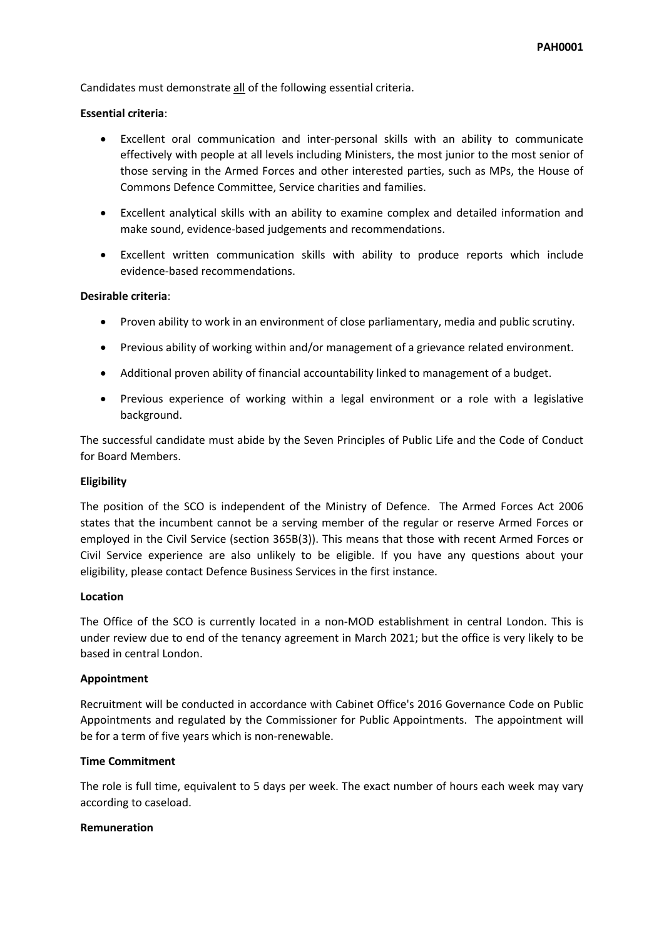Candidates must demonstrate all of the following essential criteria.

#### **Essential criteria**:

- Excellent oral communication and inter-personal skills with an ability to communicate effectively with people at all levels including Ministers, the most junior to the most senior of those serving in the Armed Forces and other interested parties, such as MPs, the House of Commons Defence Committee, Service charities and families.
- Excellent analytical skills with an ability to examine complex and detailed information and make sound, evidence-based judgements and recommendations.
- Excellent written communication skills with ability to produce reports which include evidence-based recommendations.

#### **Desirable criteria**:

- Proven ability to work in an environment of close parliamentary, media and public scrutiny.
- Previous ability of working within and/or management of a grievance related environment.
- Additional proven ability of financial accountability linked to management of a budget.
- Previous experience of working within a legal environment or a role with a legislative background.

The successful candidate must abide by the Seven Principles of Public Life and the Code of Conduct for Board Members.

#### **Eligibility**

The position of the SCO is independent of the Ministry of Defence. The Armed Forces Act 2006 states that the incumbent cannot be a serving member of the regular or reserve Armed Forces or employed in the Civil Service (section 365B(3)). This means that those with recent Armed Forces or Civil Service experience are also unlikely to be eligible. If you have any questions about your eligibility, please contact Defence Business Services in the first instance.

#### **Location**

The Office of the SCO is currently located in a non-MOD establishment in central London. This is under review due to end of the tenancy agreement in March 2021; but the office is very likely to be based in central London.

#### **Appointment**

Recruitment will be conducted in accordance with Cabinet Office's 2016 Governance Code on Public Appointments and regulated by the Commissioner for Public Appointments. The appointment will be for a term of five years which is non-renewable.

## **Time Commitment**

The role is full time, equivalent to 5 days per week. The exact number of hours each week may vary according to caseload.

#### **Remuneration**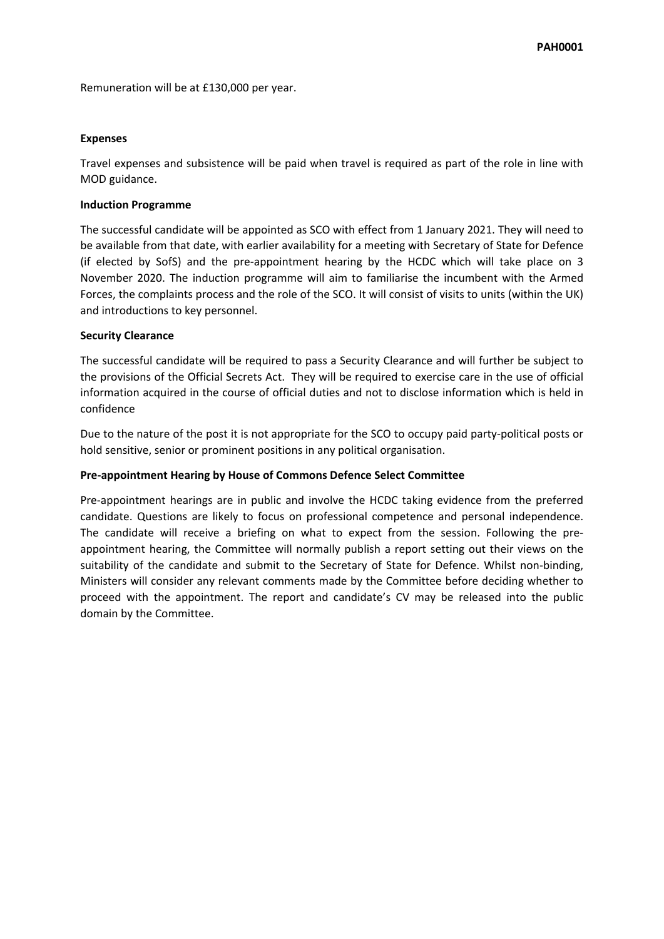Remuneration will be at £130,000 per year.

#### **Expenses**

Travel expenses and subsistence will be paid when travel is required as part of the role in line with MOD guidance.

#### **Induction Programme**

The successful candidate will be appointed as SCO with effect from 1 January 2021. They will need to be available from that date, with earlier availability for a meeting with Secretary of State for Defence (if elected by SofS) and the pre-appointment hearing by the HCDC which will take place on 3 November 2020. The induction programme will aim to familiarise the incumbent with the Armed Forces, the complaints process and the role of the SCO. It will consist of visits to units (within the UK) and introductions to key personnel.

#### **Security Clearance**

The successful candidate will be required to pass a Security Clearance and will further be subject to the provisions of the Official Secrets Act. They will be required to exercise care in the use of official information acquired in the course of official duties and not to disclose information which is held in confidence

Due to the nature of the post it is not appropriate for the SCO to occupy paid party-political posts or hold sensitive, senior or prominent positions in any political organisation.

#### **Pre-appointment Hearing by House of Commons Defence Select Committee**

Pre-appointment hearings are in public and involve the HCDC taking evidence from the preferred candidate. Questions are likely to focus on professional competence and personal independence. The candidate will receive a briefing on what to expect from the session. Following the preappointment hearing, the Committee will normally publish a report setting out their views on the suitability of the candidate and submit to the Secretary of State for Defence. Whilst non-binding, Ministers will consider any relevant comments made by the Committee before deciding whether to proceed with the appointment. The report and candidate's CV may be released into the public domain by the Committee.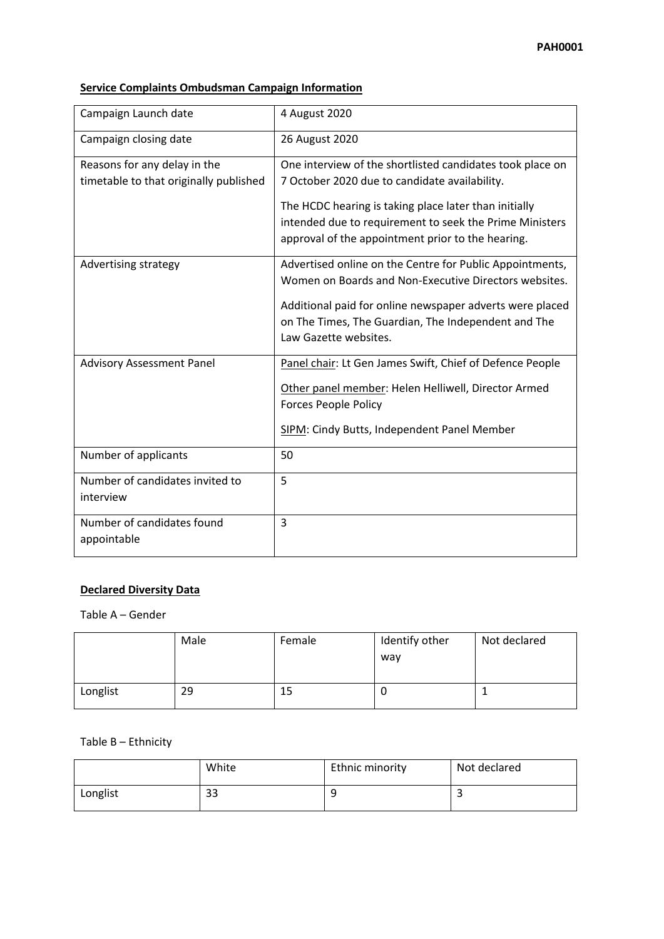# **Service Complaints Ombudsman Campaign Information**

| Campaign Launch date                         | 4 August 2020                                                                                                                                                         |
|----------------------------------------------|-----------------------------------------------------------------------------------------------------------------------------------------------------------------------|
| Campaign closing date                        | 26 August 2020                                                                                                                                                        |
| Reasons for any delay in the                 | One interview of the shortlisted candidates took place on                                                                                                             |
| timetable to that originally published       | 7 October 2020 due to candidate availability.                                                                                                                         |
|                                              | The HCDC hearing is taking place later than initially<br>intended due to requirement to seek the Prime Ministers<br>approval of the appointment prior to the hearing. |
| Advertising strategy                         | Advertised online on the Centre for Public Appointments,<br>Women on Boards and Non-Executive Directors websites.                                                     |
|                                              | Additional paid for online newspaper adverts were placed                                                                                                              |
|                                              | on The Times, The Guardian, The Independent and The<br>Law Gazette websites.                                                                                          |
| <b>Advisory Assessment Panel</b>             | Panel chair: Lt Gen James Swift, Chief of Defence People                                                                                                              |
|                                              | Other panel member: Helen Helliwell, Director Armed<br>Forces People Policy                                                                                           |
|                                              | SIPM: Cindy Butts, Independent Panel Member                                                                                                                           |
| Number of applicants                         | 50                                                                                                                                                                    |
| Number of candidates invited to<br>interview | 5                                                                                                                                                                     |
| Number of candidates found<br>appointable    | 3                                                                                                                                                                     |

## **Declared Diversity Data**

## Table A – Gender

|          | Male | Female | Identify other<br>way | Not declared |
|----------|------|--------|-----------------------|--------------|
| Longlist | 29   | 15     |                       |              |

Table B – Ethnicity

|          | White | Ethnic minority | Not declared |
|----------|-------|-----------------|--------------|
| Longlist | 33    | q<br>-          | -            |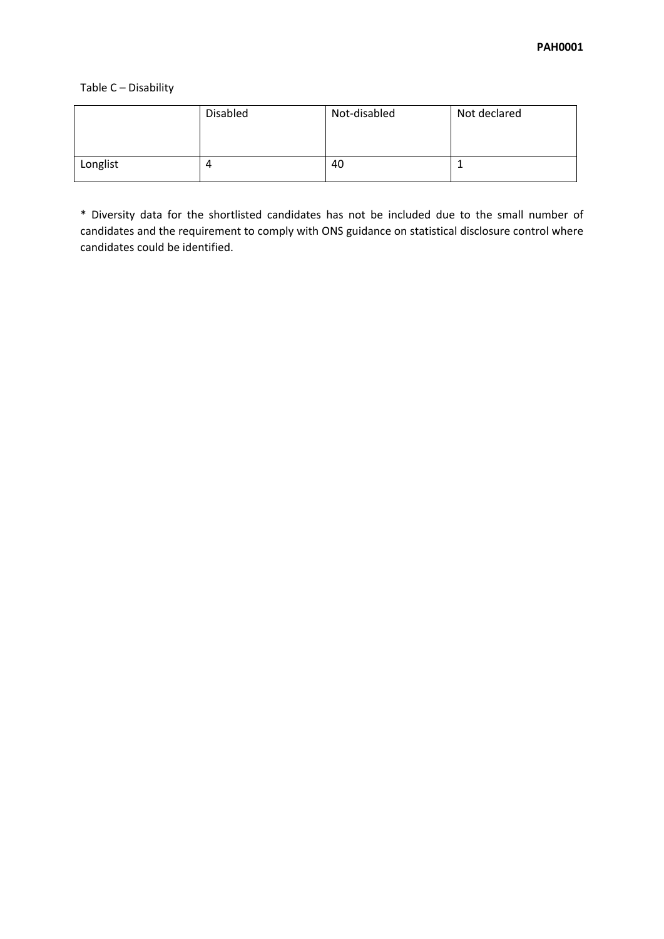Table C – Disability

|          | <b>Disabled</b> | Not-disabled | Not declared |
|----------|-----------------|--------------|--------------|
| Longlist |                 | 40           |              |

\* Diversity data for the shortlisted candidates has not be included due to the small number of candidates and the requirement to comply with ONS guidance on statistical disclosure control where candidates could be identified.